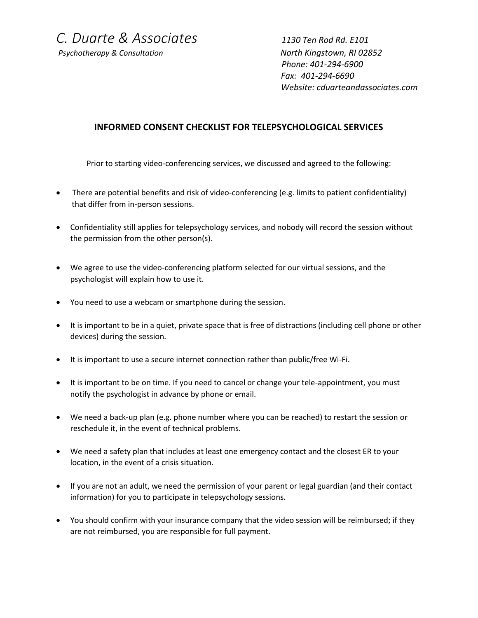*C. Duarte & Associates 1130 Ten Rod Rd. E101*

*Psychotherapy & Consultation North Kingstown, RI 02852*

 *Phone: 401-294-6900 Fax: 401-294-6690 Website: cduarteandassociates.com*

## **INFORMED CONSENT CHECKLIST FOR TELEPSYCHOLOGICAL SERVICES**

Prior to starting video-conferencing services, we discussed and agreed to the following:

- There are potential benefits and risk of video-conferencing (e.g. limits to patient confidentiality) that differ from in-person sessions.
- Confidentiality still applies for telepsychology services, and nobody will record the session without the permission from the other person(s).
- We agree to use the video-conferencing platform selected for our virtual sessions, and the psychologist will explain how to use it.
- You need to use a webcam or smartphone during the session.
- It is important to be in a quiet, private space that is free of distractions (including cell phone or other devices) during the session.
- It is important to use a secure internet connection rather than public/free Wi-Fi.
- It is important to be on time. If you need to cancel or change your tele-appointment, you must notify the psychologist in advance by phone or email.
- We need a back-up plan (e.g. phone number where you can be reached) to restart the session or reschedule it, in the event of technical problems.
- We need a safety plan that includes at least one emergency contact and the closest ER to your location, in the event of a crisis situation.
- If you are not an adult, we need the permission of your parent or legal guardian (and their contact information) for you to participate in telepsychology sessions.
- You should confirm with your insurance company that the video session will be reimbursed; if they are not reimbursed, you are responsible for full payment.